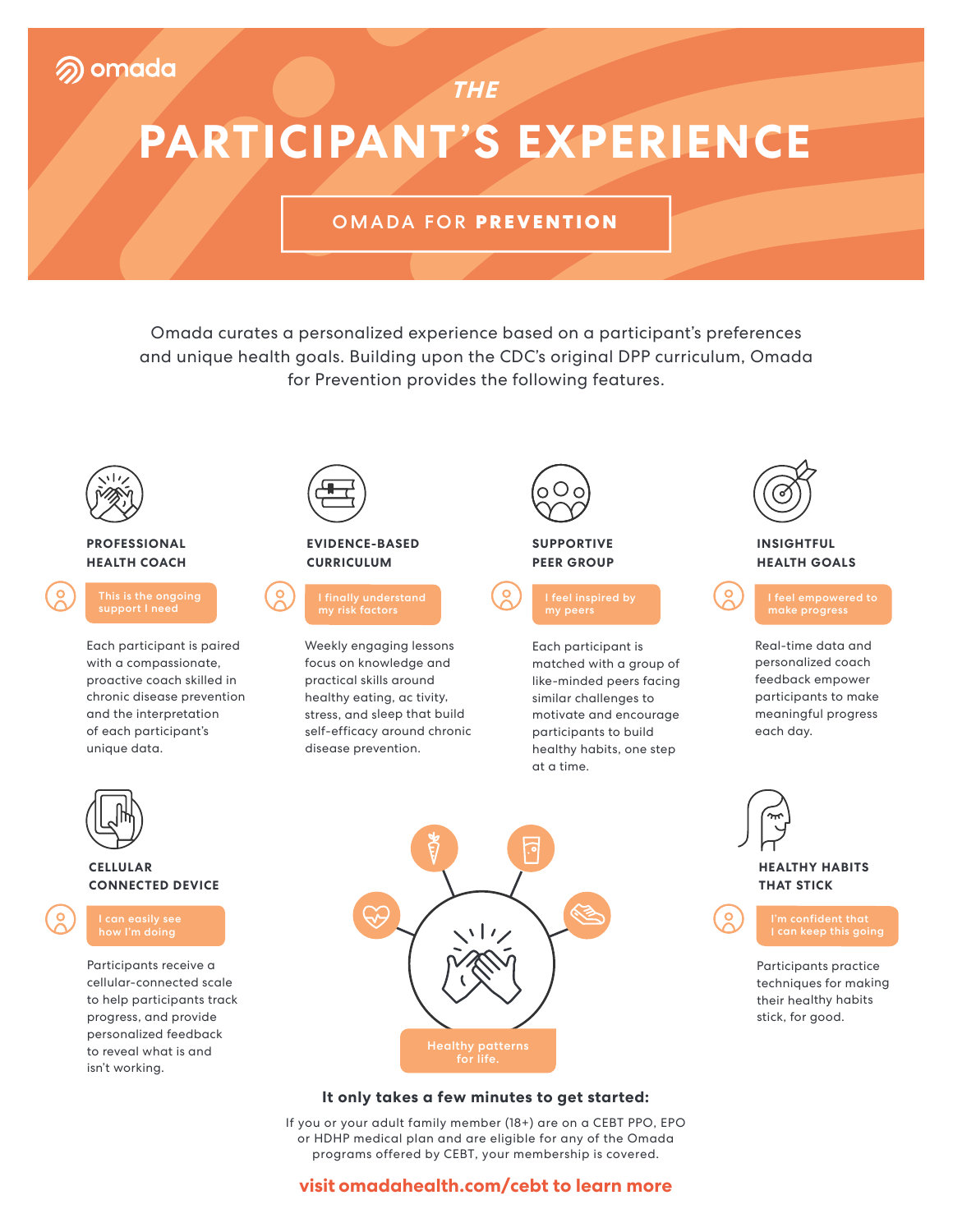# **PARTICIPANT'S EXPERIENCE**

**THE**

#### OMADA FOR **PREVENTION**

Omada curates a personalized experience based on a participant's preferences and unique health goals. Building upon the CDC's original DPP curriculum, Omada for Prevention provides the following features.



#### **PROFESSIONAL HEALTH COACH**

Each participant is paired with a compassionate, proactive coach skilled in chronic disease prevention and the interpretation of each participant's unique data.



#### **CELLULAR CONNECTED DEVICE**



Participants receive a cellular-connected scale to help participants track progress, and provide personalized feedback to reveal what is and isn't working.



#### **EVIDENCE-BASED CURRICULUM**



Weekly engaging lessons focus on knowledge and practical skills around healthy eating, ac tivity, stress, and sleep that build self-efficacy around chronic disease prevention.



#### **SUPPORTIVE PEER GROUP**



Each participant is matched with a group of like-minded peers facing similar challenges to motivate and encourage participants to build healthy habits, one step at a time.



#### **INSIGHTFUL HEALTH GOALS**

```
make progress
```
Real-time data and personalized coach feedback empower participants to make meaningful progress each day.



### **HEALTHY HABITS THAT STICK**

Participants practice techniques for making their healthy habits stick, for good.

#### **It only takes a few minutes to get started:**

If you or your adult family member (18+) are on a CEBT PPO, EPO or HDHP medical plan and are eligible for any of the Omada programs offered by CEBT, your membership is covered.

#### **visit omadahealth.com/cebt to learn more**